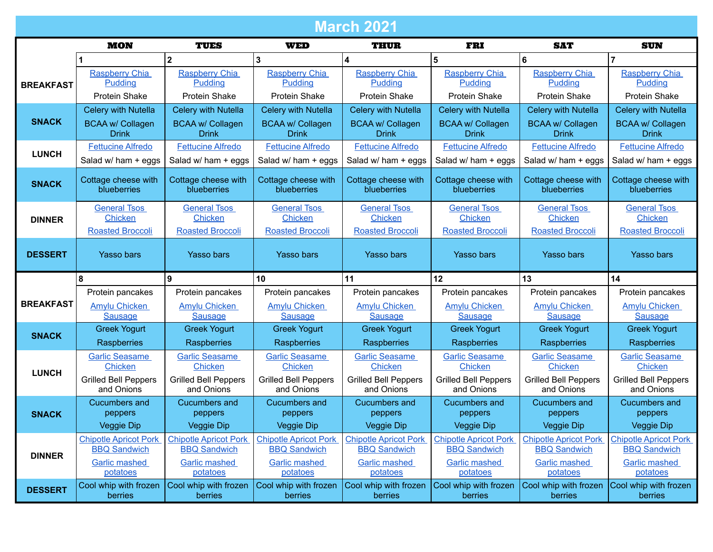| <b>March 2021</b> |                                         |                                         |                                         |                                         |                                         |                                         |                                         |
|-------------------|-----------------------------------------|-----------------------------------------|-----------------------------------------|-----------------------------------------|-----------------------------------------|-----------------------------------------|-----------------------------------------|
|                   | <b>MON</b>                              | <b>TUES</b>                             | <b>WED</b>                              | <b>THUR</b>                             | <b>FRI</b>                              | <b>SAT</b>                              | <b>SUN</b>                              |
|                   |                                         | $\mathbf{2}$                            | $\mathbf{3}$                            | $\overline{\mathbf{4}}$                 | 5                                       | 6                                       | $\overline{7}$                          |
|                   | <b>Raspberry Chia</b>                   | <b>Raspberry Chia</b>                   | <b>Raspberry Chia</b>                   | Raspberry Chia                          | <b>Raspberry Chia</b>                   | <b>Raspberry Chia</b>                   | <b>Raspberry Chia</b>                   |
| <b>BREAKFAST</b>  | Pudding                                 | Pudding                                 | Pudding                                 | Pudding                                 | Pudding                                 | Pudding                                 | Pudding                                 |
|                   | <b>Protein Shake</b>                    | <b>Protein Shake</b>                    | <b>Protein Shake</b>                    | <b>Protein Shake</b>                    | Protein Shake                           | <b>Protein Shake</b>                    | Protein Shake                           |
|                   | Celery with Nutella                     | Celery with Nutella                     | <b>Celery with Nutella</b>              | Celery with Nutella                     | Celery with Nutella                     | Celery with Nutella                     | Celery with Nutella                     |
| <b>SNACK</b>      | <b>BCAA w/ Collagen</b><br><b>Drink</b> | <b>BCAA w/ Collagen</b><br><b>Drink</b> | <b>BCAA w/ Collagen</b><br><b>Drink</b> | <b>BCAA w/ Collagen</b><br>Drink        | <b>BCAA w/ Collagen</b><br><b>Drink</b> | <b>BCAA w/ Collagen</b><br><b>Drink</b> | <b>BCAA w/ Collagen</b><br><b>Drink</b> |
| <b>LUNCH</b>      | <b>Fettucine Alfredo</b>                | <b>Fettucine Alfredo</b>                | <b>Fettucine Alfredo</b>                | <b>Fettucine Alfredo</b>                | <b>Fettucine Alfredo</b>                | <b>Fettucine Alfredo</b>                | <b>Fettucine Alfredo</b>                |
|                   | Salad w/ ham + eggs                     | Salad w/ ham + eggs                     | Salad w/ ham + eggs                     | Salad w/ ham + eggs                     | Salad w/ ham + eggs                     | Salad w/ ham + eggs                     | Salad w/ ham + eggs                     |
| <b>SNACK</b>      | Cottage cheese with<br>blueberries      | Cottage cheese with<br>blueberries      | Cottage cheese with<br>blueberries      | Cottage cheese with<br>blueberries      | Cottage cheese with<br>blueberries      | Cottage cheese with<br>blueberries      | Cottage cheese with<br>blueberries      |
|                   | <b>General Tsos</b>                     | <b>General Tsos</b>                     | <b>General Tsos</b>                     | <b>General Tsos</b>                     | <b>General Tsos</b>                     | <b>General Tsos</b>                     | <b>General Tsos</b>                     |
| <b>DINNER</b>     | Chicken                                 | <b>Chicken</b>                          | Chicken                                 | <b>Chicken</b>                          | Chicken                                 | Chicken                                 | Chicken                                 |
|                   | <b>Roasted Broccoli</b>                 | <b>Roasted Broccoli</b>                 | <b>Roasted Broccoli</b>                 | <b>Roasted Broccoli</b>                 | <b>Roasted Broccoli</b>                 | <b>Roasted Broccoli</b>                 | <b>Roasted Broccoli</b>                 |
| <b>DESSERT</b>    | <b>Yasso bars</b>                       | <b>Yasso bars</b>                       | <b>Yasso bars</b>                       | <b>Yasso bars</b>                       | <b>Yasso bars</b>                       | <b>Yasso bars</b>                       | <b>Yasso bars</b>                       |
|                   | 8                                       | 9                                       | 10                                      | 11                                      | 12                                      | 13                                      | 14                                      |
|                   | Protein pancakes                        | Protein pancakes                        | Protein pancakes                        | Protein pancakes                        | Protein pancakes                        | Protein pancakes                        | Protein pancakes                        |
| <b>BREAKFAST</b>  | <b>Amylu Chicken</b>                    | <b>Amylu Chicken</b>                    | <b>Amylu Chicken</b>                    | <b>Amylu Chicken</b>                    | <b>Amylu Chicken</b>                    | <b>Amylu Chicken</b>                    | <b>Amylu Chicken</b>                    |
|                   | <b>Sausage</b>                          | <b>Sausage</b>                          | <b>Sausage</b>                          | <b>Sausage</b>                          | <b>Sausage</b>                          | <b>Sausage</b>                          | <b>Sausage</b>                          |
| <b>SNACK</b>      | <b>Greek Yogurt</b>                     | <b>Greek Yogurt</b>                     | <b>Greek Yogurt</b>                     | <b>Greek Yogurt</b>                     | <b>Greek Yogurt</b>                     | <b>Greek Yogurt</b>                     | <b>Greek Yogurt</b>                     |
|                   | Raspberries                             | Raspberries                             | Raspberries                             | Raspberries                             | Raspberries                             | Raspberries                             | Raspberries                             |
|                   | <b>Garlic Seasame</b><br><b>Chicken</b> | <b>Garlic Seasame</b><br>Chicken        | <b>Garlic Seasame</b><br><b>Chicken</b> | <b>Garlic Seasame</b><br><b>Chicken</b> | <b>Garlic Seasame</b><br><b>Chicken</b> | <b>Garlic Seasame</b><br>Chicken        | <b>Garlic Seasame</b><br><b>Chicken</b> |
| <b>LUNCH</b>      | <b>Grilled Bell Peppers</b>             | <b>Grilled Bell Peppers</b>             | <b>Grilled Bell Peppers</b>             | <b>Grilled Bell Peppers</b>             | <b>Grilled Bell Peppers</b>             | <b>Grilled Bell Peppers</b>             | <b>Grilled Bell Peppers</b>             |
|                   | and Onions                              | and Onions                              | and Onions                              | and Onions                              | and Onions                              | and Onions                              | and Onions                              |
|                   | <b>Cucumbers and</b>                    | <b>Cucumbers and</b>                    | <b>Cucumbers and</b>                    | <b>Cucumbers and</b>                    | <b>Cucumbers and</b>                    | <b>Cucumbers and</b>                    | Cucumbers and                           |
| <b>SNACK</b>      | peppers                                 | peppers                                 | peppers                                 | peppers                                 | peppers                                 | peppers                                 | peppers                                 |
|                   | Veggie Dip                              | <b>Veggie Dip</b>                       | Veggie Dip                              | <b>Veggie Dip</b>                       | Veggie Dip                              | Veggie Dip                              | Veggie Dip                              |
|                   | <b>Chipotle Apricot Pork</b>            | <b>Chipotle Apricot Pork</b>            | <b>Chipotle Apricot Pork</b>            | <b>Chipotle Apricot Pork</b>            | <b>Chipotle Apricot Pork</b>            | <b>Chipotle Apricot Pork</b>            | <b>Chipotle Apricot Pork</b>            |
| <b>DINNER</b>     | <b>BBQ Sandwich</b>                     | <b>BBQ Sandwich</b>                     | <b>BBQ Sandwich</b>                     | <b>BBQ Sandwich</b>                     | <b>BBQ Sandwich</b>                     | <b>BBQ Sandwich</b>                     | <b>BBQ Sandwich</b>                     |
|                   | Garlic mashed<br>potatoes               | Garlic mashed<br>potatoes               | <b>Garlic mashed</b><br>potatoes        | <b>Garlic mashed</b><br>potatoes        | Garlic mashed<br>potatoes               | <b>Garlic mashed</b><br>potatoes        | Garlic mashed<br>potatoes               |
|                   | Cool whip with frozen                   | Cool whip with frozen                   | Cool whip with frozen                   | Cool whip with frozen                   | Cool whip with frozen                   | Cool whip with frozen                   | Cool whip with frozen                   |
| <b>DESSERT</b>    | berries                                 | berries                                 | berries                                 | berries                                 | berries                                 | berries                                 | berries                                 |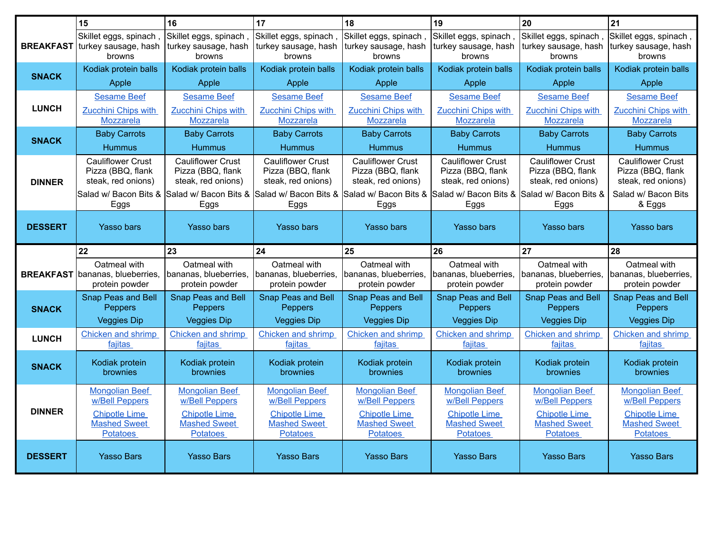|                  | 15                                                       | 16                                                       | 17                                                      | 18                                                      | 19                                                       | 20                                                      | 21                                                       |
|------------------|----------------------------------------------------------|----------------------------------------------------------|---------------------------------------------------------|---------------------------------------------------------|----------------------------------------------------------|---------------------------------------------------------|----------------------------------------------------------|
| <b>BREAKFAST</b> | Skillet eggs, spinach<br>turkey sausage, hash<br>browns  | Skillet eggs, spinach,<br>turkey sausage, hash<br>browns | Skillet eggs, spinach<br>turkey sausage, hash<br>browns | Skillet eggs, spinach<br>turkey sausage, hash<br>browns | Skillet eggs, spinach,<br>turkey sausage, hash<br>browns | Skillet eggs, spinach<br>turkey sausage, hash<br>browns | Skillet eggs, spinach,<br>turkey sausage, hash<br>browns |
| <b>SNACK</b>     | Kodiak protein balls                                     | Kodiak protein balls                                     | Kodiak protein balls                                    | Kodiak protein balls                                    | Kodiak protein balls                                     | Kodiak protein balls                                    | Kodiak protein balls                                     |
|                  | Apple                                                    | Apple                                                    | Apple                                                   | Apple                                                   | Apple                                                    | Apple                                                   | Apple                                                    |
|                  | <b>Sesame Beef</b>                                       | <b>Sesame Beef</b>                                       | <b>Sesame Beef</b>                                      | <b>Sesame Beef</b>                                      | <b>Sesame Beef</b>                                       | <b>Sesame Beef</b>                                      | <b>Sesame Beef</b>                                       |
| <b>LUNCH</b>     | Zucchini Chips with                                      | <b>Zucchini Chips with</b>                               | <b>Zucchini Chips with</b>                              | Zucchini Chips with                                     | Zucchini Chips with                                      | Zucchini Chips with                                     | <b>Zucchini Chips with</b>                               |
|                  | Mozzarela                                                | Mozzarela                                                | Mozzarela                                               | Mozzarela                                               | Mozzarela                                                | Mozzarela                                               | <b>Mozzarela</b>                                         |
| <b>SNACK</b>     | <b>Baby Carrots</b>                                      | <b>Baby Carrots</b>                                      | <b>Baby Carrots</b>                                     | <b>Baby Carrots</b>                                     | <b>Baby Carrots</b>                                      | <b>Baby Carrots</b>                                     | <b>Baby Carrots</b>                                      |
|                  | <b>Hummus</b>                                            | <b>Hummus</b>                                            | <b>Hummus</b>                                           | <b>Hummus</b>                                           | <b>Hummus</b>                                            | <b>Hummus</b>                                           | <b>Hummus</b>                                            |
|                  | <b>Cauliflower Crust</b><br>Pizza (BBQ, flank            | <b>Cauliflower Crust</b><br>Pizza (BBQ, flank            | <b>Cauliflower Crust</b><br>Pizza (BBQ, flank           | <b>Cauliflower Crust</b><br>Pizza (BBQ, flank           | <b>Cauliflower Crust</b><br>Pizza (BBQ, flank            | <b>Cauliflower Crust</b><br>Pizza (BBQ, flank           | <b>Cauliflower Crust</b><br>Pizza (BBQ, flank            |
| <b>DINNER</b>    | steak, red onions)                                       | steak, red onions)                                       | steak, red onions)                                      | steak, red onions)                                      | steak, red onions)                                       | steak, red onions)                                      | steak, red onions)                                       |
|                  | Salad w/ Bacon Bits &                                    | Salad w/ Bacon Bits &                                    | Salad w/ Bacon Bits & Salad w/ Bacon Bits &             |                                                         | Salad w/ Bacon Bits & Salad w/ Bacon Bits &              |                                                         | Salad w/ Bacon Bits                                      |
|                  | Eggs                                                     | Eggs                                                     | Eggs                                                    | Eggs                                                    | Eggs                                                     | Eggs                                                    | & Eggs                                                   |
| <b>DESSERT</b>   | <b>Yasso bars</b>                                        | <b>Yasso bars</b>                                        | <b>Yasso bars</b>                                       | <b>Yasso bars</b>                                       | <b>Yasso bars</b>                                        | <b>Yasso bars</b>                                       | <b>Yasso bars</b>                                        |
|                  |                                                          |                                                          |                                                         |                                                         |                                                          |                                                         |                                                          |
|                  | 22                                                       | 23                                                       | 24                                                      | 25                                                      | 26                                                       | 27                                                      | 28                                                       |
|                  | Oatmeal with                                             | Oatmeal with                                             | Oatmeal with                                            | Oatmeal with                                            | Oatmeal with                                             | Oatmeal with                                            | Oatmeal with                                             |
|                  | <b>BREAKFAST</b> bananas, blueberries,<br>protein powder | bananas, blueberries.<br>protein powder                  | bananas, blueberries,<br>protein powder                 | bananas, blueberries,<br>protein powder                 | bananas, blueberries,<br>protein powder                  | bananas, blueberries,<br>protein powder                 | bananas, blueberries,<br>protein powder                  |
|                  | Snap Peas and Bell                                       | Snap Peas and Bell                                       | <b>Snap Peas and Bell</b>                               | <b>Snap Peas and Bell</b>                               | Snap Peas and Bell                                       | Snap Peas and Bell                                      | <b>Snap Peas and Bell</b>                                |
| <b>SNACK</b>     | Peppers                                                  | Peppers                                                  | Peppers                                                 | Peppers                                                 | Peppers                                                  | Peppers                                                 | Peppers                                                  |
|                  | <b>Veggies Dip</b>                                       | <b>Veggies Dip</b>                                       | <b>Veggies Dip</b>                                      | <b>Veggies Dip</b>                                      | <b>Veggies Dip</b>                                       | <b>Veggies Dip</b>                                      | <b>Veggies Dip</b>                                       |
| <b>LUNCH</b>     | Chicken and shrimp                                       | Chicken and shrimp                                       | <b>Chicken and shrimp</b>                               | Chicken and shrimp                                      | Chicken and shrimp                                       | Chicken and shrimp                                      | Chicken and shrimp                                       |
|                  | fajitas                                                  | fajitas                                                  | fajitas                                                 | fajitas                                                 | fajitas                                                  | fajitas                                                 | fajitas                                                  |
| <b>SNACK</b>     | Kodiak protein                                           | Kodiak protein                                           | Kodiak protein                                          | Kodiak protein                                          | Kodiak protein                                           | Kodiak protein                                          | Kodiak protein                                           |
|                  | brownies                                                 | brownies                                                 | <b>brownies</b>                                         | brownies                                                | brownies                                                 | brownies                                                | brownies                                                 |
|                  | <b>Mongolian Beef</b>                                    | <b>Mongolian Beef</b>                                    | <b>Mongolian Beef</b>                                   | <b>Mongolian Beef</b>                                   | <b>Mongolian Beef</b>                                    | <b>Mongolian Beef</b>                                   | <b>Mongolian Beef</b>                                    |
| <b>DINNER</b>    | <b>w/Bell Peppers</b>                                    | <b>w/Bell Peppers</b>                                    | <b>w/Bell Peppers</b>                                   | <b>w/Bell Peppers</b>                                   | <b>w/Bell Peppers</b>                                    | w/Bell Peppers                                          | w/Bell Peppers                                           |
|                  | <b>Chipotle Lime</b><br><b>Mashed Sweet</b>              | <b>Chipotle Lime</b><br><b>Mashed Sweet</b>              | <b>Chipotle Lime</b><br><b>Mashed Sweet</b>             | <b>Chipotle Lime</b><br><b>Mashed Sweet</b>             | <b>Chipotle Lime</b><br><b>Mashed Sweet</b>              | <b>Chipotle Lime</b><br><b>Mashed Sweet</b>             | <b>Chipotle Lime</b><br><b>Mashed Sweet</b>              |
|                  | <b>Potatoes</b>                                          | <b>Potatoes</b>                                          | <b>Potatoes</b>                                         | <b>Potatoes</b>                                         | <b>Potatoes</b>                                          | <b>Potatoes</b>                                         | <b>Potatoes</b>                                          |
| <b>DESSERT</b>   | <b>Yasso Bars</b>                                        | <b>Yasso Bars</b>                                        | <b>Yasso Bars</b>                                       | <b>Yasso Bars</b>                                       | <b>Yasso Bars</b>                                        | <b>Yasso Bars</b>                                       | <b>Yasso Bars</b>                                        |